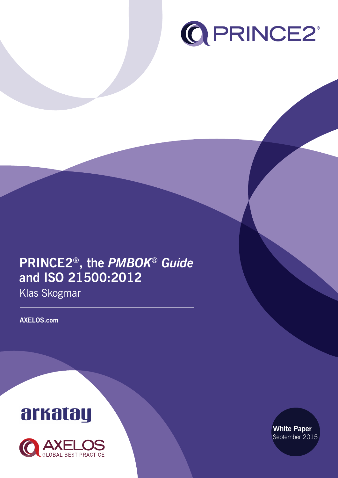

# **PRINCE2®, the** *PMBOK® Guide* **and ISO 21500:2012**

Klas Skogmar

**AXELOS.com**





**White Paper** September 2015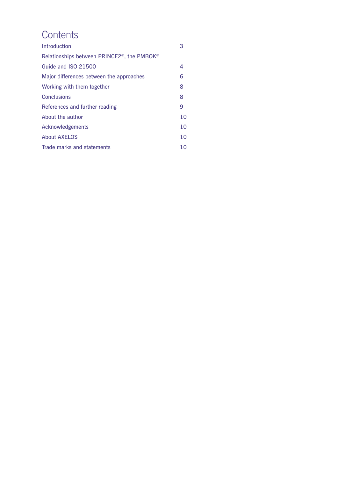# **Contents**

| Introduction                                                        | 3  |
|---------------------------------------------------------------------|----|
| Relationships between PRINCE2 <sup>®</sup> , the PMBOK <sup>®</sup> |    |
| Guide and ISO 21500                                                 | 4  |
| Major differences between the approaches                            | 6  |
| Working with them together                                          | 8  |
| <b>Conclusions</b>                                                  | 8  |
| References and further reading                                      | 9  |
| About the author                                                    | 10 |
| Acknowledgements                                                    | 10 |
| <b>About AXELOS</b>                                                 | 10 |
| Trade marks and statements                                          | 10 |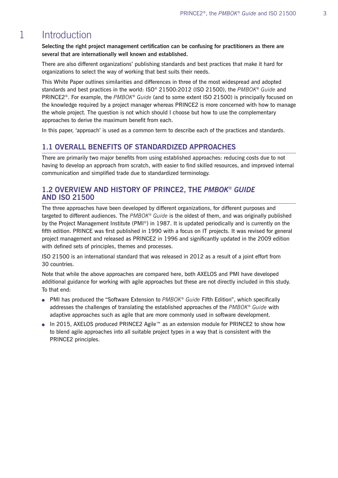#### **Introduction** 1

**Selecting the right project management certification can be confusing for practitioners as there are several that are internationally well known and established.**

There are also different organizations' publishing standards and best practices that make it hard for organizations to select the way of working that best suits their needs.

This White Paper outlines similarities and differences in three of the most widespread and adopted standards and best practices in the world: ISO® 21500:2012 (ISO 21500), the *PMBOK*® *Guide* and PRINCE2®. For example, the *PMBOK*® *Guide* (and to some extent ISO 21500) is principally focused on the knowledge required by a project manager whereas PRINCE2 is more concerned with how to manage the whole project. The question is not which should I choose but how to use the complementary approaches to derive the maximum benefit from each.

In this paper, 'approach' is used as a common term to describe each of the practices and standards.

#### **1.1 OVERALL BENEFITS OF STANDARDIZED APPROACHES**

There are primarily two major benefits from using established approaches: reducing costs due to not having to develop an approach from scratch, with easier to find skilled resources, and improved internal communication and simplified trade due to standardized terminology.

#### **1.2 OVERVIEW AND HISTORY OF PRINCE2, THE** *PMBOK® GUIDE* **AND ISO 21500**

The three approaches have been developed by different organizations, for different purposes and targeted to different audiences. The *PMBOK® Guide* is the oldest of them, and was originally published by the Project Management Institute (PMI*®*) in 1987. It is updated periodically and is currently on the fifth edition. PRINCE was first published in 1990 with a focus on IT projects. It was revised for general project management and released as PRINCE2 in 1996 and significantly updated in the 2009 edition with defined sets of principles, themes and processes.

ISO 21500 is an international standard that was released in 2012 as a result of a joint effort from 30 countries.

Note that while the above approaches are compared here, both AXELOS and PMI have developed additional guidance for working with agile approaches but these are not directly included in this study. To that end:

- PMI has produced the "Software Extension to *PMBOK® Guide* Fifth Edition", which specifically addresses the challenges of translating the established approaches of the *PMBOK® Guide* with adaptive approaches such as agile that are more commonly used in software development.
- In 2015, AXELOS produced PRINCE2 Agile™ as an extension module for PRINCE2 to show how to blend agile approaches into all suitable project types in a way that is consistent with the PRINCE2 principles.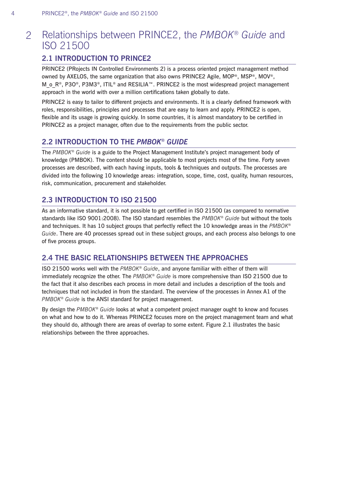#### Relationships between PRINCE2, the *PMBOK® Guide* and ISO 21500 2

## **2.1 INTRODUCTION TO PRINCE2**

PRINCE2 (PRojects IN Controlled Environments 2) is a process oriented project management method owned by AXELOS, the same organization that also owns PRINCE2 Agile, MOP®, MSP®, MOV®, M o R<sup>®</sup>, P3O®, P3M3®, ITIL® and RESILIA™. PRINCE2 is the most widespread project management approach in the world with over a million certifications taken globally to date.

PRINCE2 is easy to tailor to different projects and environments. It is a clearly defined framework with roles, responsibilities, principles and processes that are easy to learn and apply. PRINCE2 is open, flexible and its usage is growing quickly. In some countries, it is almost mandatory to be certified in PRINCE2 as a project manager, often due to the requirements from the public sector.

## **2.2 INTRODUCTION TO THE** *PMBOK® GUIDE*

The *PMBOK® Guide* is a guide to the Project Management Institute's project management body of knowledge (PMBOK). The content should be applicable to most projects most of the time. Forty seven processes are described, with each having inputs, tools & techniques and outputs. The processes are divided into the following 10 knowledge areas: integration, scope, time, cost, quality, human resources, risk, communication, procurement and stakeholder.

## **2.3 INTRODUCTION TO ISO 21500**

As an informative standard, it is not possible to get certified in ISO 21500 (as compared to normative standards like ISO 9001:2008). The ISO standard resembles the *PMBOK® Guide* but without the tools and techniques. It has 10 subject groups that perfectly reflect the 10 knowledge areas in the *PMBOK® Guide*. There are 40 processes spread out in these subject groups, and each process also belongs to one of five process groups.

## **2.4 THE BASIC RELATIONSHIPS BETWEEN THE APPROACHES**

ISO 21500 works well with the *PMBOK® Guide*, and anyone familiar with either of them will immediately recognize the other. The *PMBOK® Guide* is more comprehensive than ISO 21500 due to the fact that it also describes each process in more detail and includes a description of the tools and techniques that not included in from the standard. The overview of the processes in Annex A1 of the *PMBOK® Guide* is the ANSI standard for project management.

By design the *PMBOK® Guide* looks at what a competent project manager ought to know and focuses on what and how to do it. Whereas PRINCE2 focuses more on the project management team and what they should do, although there are areas of overlap to some extent. Figure 2.1 illustrates the basic relationships between the three approaches.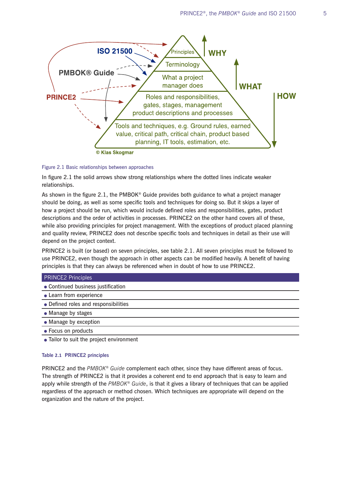

#### Figure 2.1 Basic relationships between approaches

In figure 2.1 the solid arrows show strong relationships where the dotted lines indicate weaker relationships.

As shown in the figure 2.1, the PMBOK® Guide provides both guidance to what a project manager should be doing, as well as some specific tools and techniques for doing so. But it skips a layer of how a project should be run, which would include defined roles and responsibilities, gates, product descriptions and the order of activities in processes. PRINCE2 on the other hand covers all of these, while also providing principles for project management. With the exceptions of product placed planning and quality review, PRINCE2 does not describe specific tools and techniques in detail as their use will depend on the project context.

PRINCE2 is built (or based) on seven principles, see table 2.1. All seven principles must be followed to use PRINCE2, even though the approach in other aspects can be modified heavily. A benefit of having principles is that they can always be referenced when in doubt of how to use PRINCE2.

#### PRINCE2 Principles

- Continued business justification
- Learn from experience
- Defined roles and responsibilities
- Manage by stages
- Manage by exception
- Focus on products
- Tailor to suit the project environment

#### **Table 2.1 PRINCE2 principles**

PRINCE2 and the *PMBOK® Guide* complement each other, since they have different areas of focus. The strength of PRINCE2 is that it provides a coherent end to end approach that is easy to learn and apply while strength of the *PMBOK® Guide*, is that it gives a library of techniques that can be applied regardless of the approach or method chosen. Which techniques are appropriate will depend on the organization and the nature of the project.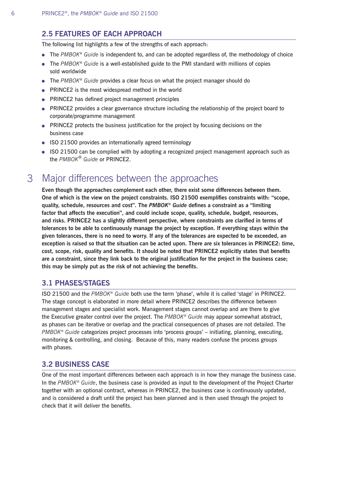### **2.5 FEATURES OF EACH APPROACH**

The following list highlights a few of the strengths of each approach:

- The *PMBOK*<sup>®</sup> Guide is independent to, and can be adopted regardless of, the methodology of choice
- The *PMBOK*<sup>®</sup> Guide is a well-established guide to the PMI standard with millions of copies sold worldwide
- The *PMBOK*® *Guide* provides a clear focus on what the project manager should do
- PRINCE2 is the most widespread method in the world
- PRINCE2 has defined project management principles
- PRINCE2 provides a clear governance structure including the relationship of the project board to corporate/programme management
- PRINCE2 protects the business justification for the project by focusing decisions on the business case
- ISO 21500 provides an internationally agreed terminology
- ISO 21500 can be complied with by adopting a recognized project management approach such as the *PMBOK*® *Guide* or PRINCE2.

#### Major differences between the approaches 3

**Even though the approaches complement each other, there exist some differences between them. One of which is the view on the project constraints. ISO 21500 exemplifies constraints with: "scope, quality, schedule, resources and cost". The** *PMBOK® Guide* **defines a constraint as a "limiting factor that affects the execution", and could include scope, quality, schedule, budget, resources, and risks. PRINCE2 has a slightly different perspective, where constraints are clarified in terms of tolerances to be able to continuously manage the project by exception. If everything stays within the given tolerances, there is no need to worry. If any of the tolerances are expected to be exceeded, an exception is raised so that the situation can be acted upon. There are six tolerances in PRINCE2: time, cost, scope, risk, quality and benefits. It should be noted that PRINCE2 explicitly states that benefits are a constraint, since they link back to the original justification for the project in the business case; this may be simply put as the risk of not achieving the benefits.**

#### **3.1 PHASES/STAGES**

ISO 21500 and the *PMBOK® Guide* both use the term 'phase', while it is called 'stage' in PRINCE2. The stage concept is elaborated in more detail where PRINCE2 describes the difference between management stages and specialist work. Management stages cannot overlap and are there to give the Executive greater control over the project. The *PMBOK® Guide* may appear somewhat abstract, as phases can be iterative or overlap and the practical consequences of phases are not detailed. The *PMBOK® Guide* categorizes project processes into 'process groups' – initiating, planning, executing, monitoring & controlling, and closing. Because of this, many readers confuse the process groups with phases.

#### **3.2 BUSINESS CASE**

One of the most important differences between each approach is in how they manage the business case. In the *PMBOK® Guide*, the business case is provided as input to the development of the Project Charter together with an optional contract, whereas in PRINCE2, the business case is continuously updated, and is considered a draft until the project has been planned and is then used through the project to check that it will deliver the benefits.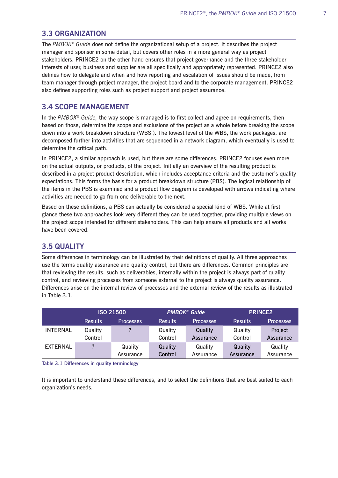#### **3.3 ORGANIZATION**

The *PMBOK® Guide* does not define the organizational setup of a project. It describes the project manager and sponsor in some detail, but covers other roles in a more general way as project stakeholders. PRINCE2 on the other hand ensures that project governance and the three stakeholder interests of user, business and supplier are all specifically and appropriately represented. PRINCE2 also defines how to delegate and when and how reporting and escalation of issues should be made, from team manager through project manager, the project board and to the corporate management. PRINCE2 also defines supporting roles such as project support and project assurance.

#### **3.4 SCOPE MANAGEMENT**

In the *PMBOK® Guide,* the way scope is managed is to first collect and agree on requirements, then based on those, determine the scope and exclusions of the project as a whole before breaking the scope down into a work breakdown structure (WBS ). The lowest level of the WBS, the work packages, are decomposed further into activities that are sequenced in a network diagram, which eventually is used to determine the critical path.

In PRINCE2, a similar approach is used, but there are some differences. PRINCE2 focuses even more on the actual outputs, or products, of the project. Initially an overview of the resulting product is described in a project product description, which includes acceptance criteria and the customer's quality expectations. This forms the basis for a product breakdown structure (PBS). The logical relationship of the items in the PBS is examined and a product flow diagram is developed with arrows indicating where activities are needed to go from one deliverable to the next.

Based on these definitions, a PBS can actually be considered a special kind of WBS. While at first glance these two approaches look very different they can be used together, providing multiple views on the project scope intended for different stakeholders. This can help ensure all products and all works have been covered.

### **3.5 QUALITY**

Some differences in terminology can be illustrated by their definitions of quality. All three approaches use the terms quality assurance and quality control, but there are differences. Common principles are that reviewing the results, such as deliverables, internally within the project is always part of quality control, and reviewing processes from someone external to the project is always quality assurance. Differences arise on the internal review of processes and the external review of the results as illustrated in Table 3.1.

|                 | <b>ISO 21500</b> |                  | <b>PMBOK® Guide</b> |                  | <b>PRINCE2</b> |                  |
|-----------------|------------------|------------------|---------------------|------------------|----------------|------------------|
|                 | <b>Results</b>   | <b>Processes</b> | <b>Results</b>      | <b>Processes</b> | <b>Results</b> | <b>Processes</b> |
| <b>INTERNAL</b> | Quality          |                  | Quality             | Quality          | Quality        | Project          |
|                 | Control          |                  | Control             | Assurance        | Control        | Assurance        |
| <b>EXTERNAL</b> | 2                | Quality          | Quality             | Quality          | Quality        | Quality          |
|                 |                  | Assurance        | Control             | Assurance        | Assurance      | Assurance        |

**Table 3.1 Differences in quality terminology**

It is important to understand these differences, and to select the definitions that are best suited to each organization's needs.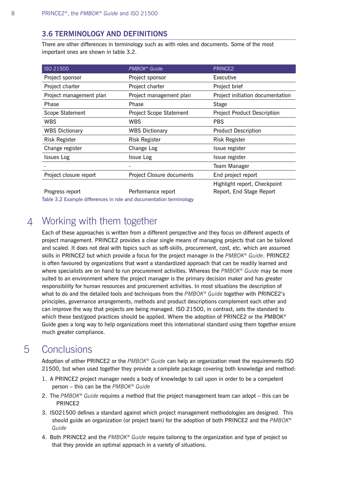### **3.6 TERMINOLOGY AND DEFINITIONS**

There are other differences in terminology such as with roles and documents. Some of the most important ones are shown in table 3.2.

| ISO 21500               | <b>PMBOK®</b> Guide              | PRINCE <sub>2</sub>                |  |
|-------------------------|----------------------------------|------------------------------------|--|
| Project sponsor         | Project sponsor                  | Executive                          |  |
| Project charter         | Project charter                  | Project brief                      |  |
| Project management plan | Project management plan          | Project initiation documentation   |  |
| Phase                   | Phase                            | <b>Stage</b>                       |  |
| Scope Statement         | <b>Project Scope Statement</b>   | <b>Project Product Description</b> |  |
| <b>WBS</b>              | <b>WBS</b>                       | <b>PBS</b>                         |  |
| <b>WBS Dictionary</b>   | <b>WBS Dictionary</b>            | <b>Product Description</b>         |  |
| <b>Risk Register</b>    | <b>Risk Register</b>             | <b>Risk Register</b>               |  |
| Change register         | Change Log                       | Issue register                     |  |
| <b>Issues Log</b>       | <b>Issue Log</b>                 | Issue register                     |  |
|                         |                                  | Team Manager                       |  |
| Project closure report  | <b>Project Closure documents</b> | End project report                 |  |
|                         |                                  | Highlight report, Checkpoint       |  |
| Progress report         | Performance report               | Report, End Stage Report           |  |

Table 3.2 Example differences in role and documentation terminology

#### Working with them together 4

Each of these approaches is written from a different perspective and they focus on different aspects of project management. PRINCE2 provides a clear single means of managing projects that can be tailored and scaled. It does not deal with topics such as soft-skills, procurement, cost, etc. which are assumed skills in PRINCE2 but which provide a focus for the project manager in the *PMBOK® Guide*. PRINCE2 is often favoured by organizations that want a standardized approach that can be readily learned and where specialists are on hand to run procurement activities. Whereas the *PMBOK® Guide* may be more suited to an environment where the project manager is the primary decision maker and has greater responsibility for human resources and procurement activities. In most situations the description of what to do and the detailed tools and techniques from the *PMBOK® Guide* together with PRINCE2's principles, governance arrangements, methods and product descriptions complement each other and can improve the way that projects are being managed. ISO 21500, in contrast, sets the standard to which these best/good practices should be applied. Where the adoption of PRINCE2 or the PMBOK<sup>®</sup> Guide goes a long way to help organizations meet this international standard using them together ensure much greater compliance.

#### **Conclusions** 5

Adoption of either PRINCE2 or the *PMBOK® Guide* can help an organization meet the requirements ISO 21500, but when used together they provide a complete package covering both knowledge and method:

- 1. A PRINCE2 project manager needs a body of knowledge to call upon in order to be a competent person – this can be the *PMBOK*® *Guide*
- 2. The *PMBOK*® *Guide* requires a method that the project management team can adopt this can be PRINCE2
- 3. ISO21500 defines a standard against which project management methodologies are designed. This should guide an organization (or project team) for the adoption of both PRINCE2 and the *PMBOK*® *Guide*
- 4. Both PRINCE2 and the *PMBOK*® *Guide* require tailoring to the organization and type of project so that they provide an optimal approach in a variety of situations.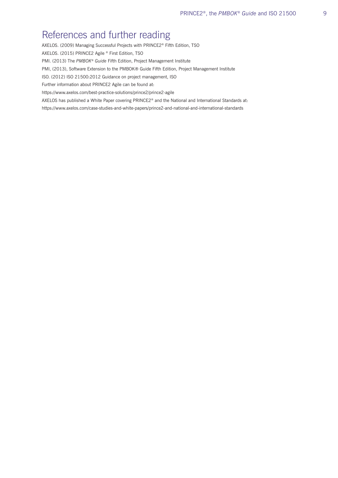## References and further reading

AXELOS. (2009) Managing Successful Projects with PRINCE2® Fifth Edition, TSO

AXELOS. (2015) PRINCE2 Agile ® First Edition, TSO

PMI. (2013) The *PMBOK*® *Guide* Fifth Edition, Project Management Institute

PMI, (2013), Software Extension to the PMBOK® Guide Fifth Edition, Project Management Institute

ISO. (2012) ISO 21500:2012 Guidance on project management, ISO

Further information about PRINCE2 Agile can be found at:

https://www.axelos.com/best-practice-solutions/prince2/prince2-agile

AXELOS has published a White Paper covering PRINCE2® and the National and International Standards at:

https://www.axelos.com/case-studies-and-white-papers/prince2-and-national-and-international-standards